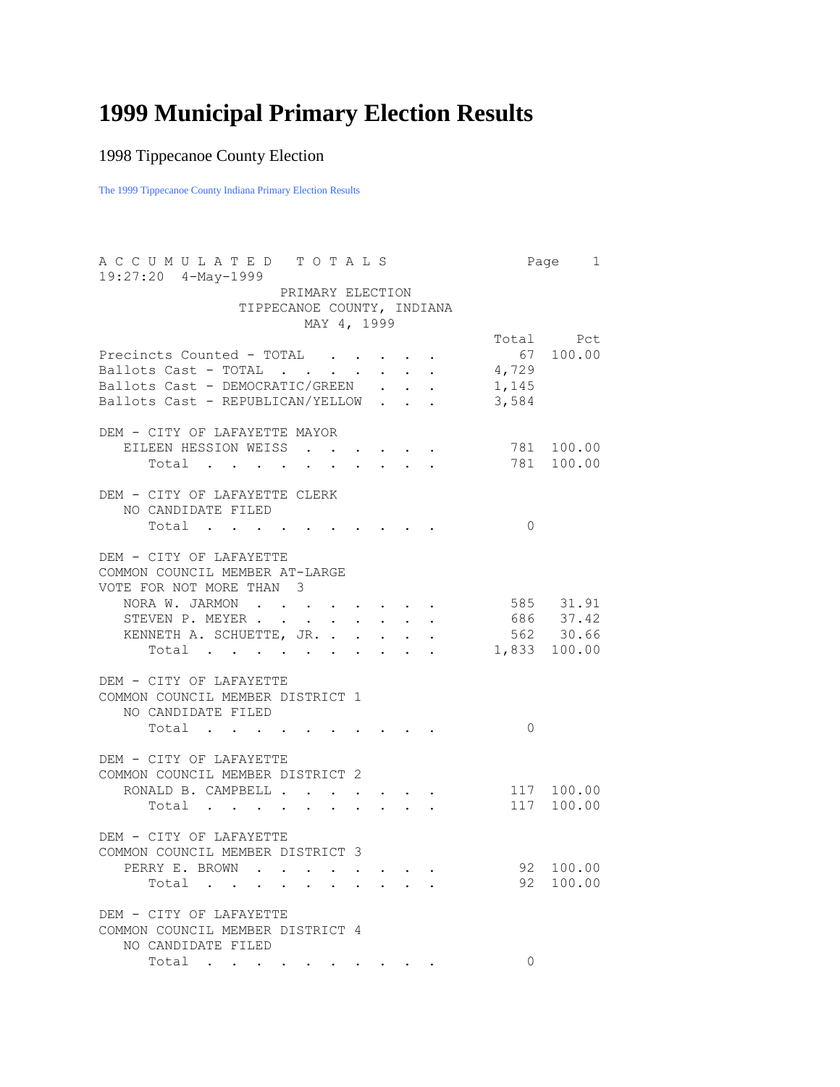## **1999 Municipal Primary Election Results**

## 1998 Tippecanoe County Election

The 1999 Tippecanoe County Indiana Primary Election Results

| ACCUMULATED TOTALS<br>19:27:20 4-May-1999                                                                                | Page 1                    |
|--------------------------------------------------------------------------------------------------------------------------|---------------------------|
| PRIMARY ELECTION                                                                                                         |                           |
| TIPPECANOE COUNTY, INDIANA                                                                                               |                           |
| MAY 4, 1999                                                                                                              |                           |
|                                                                                                                          | Total Pct                 |
| Precincts Counted - TOTAL                                                                                                | $67$ 100.00               |
| Ballots Cast - TOTAL<br>4,729                                                                                            |                           |
| Ballots Cast - DEMOCRATIC/GREEN .<br>1,145                                                                               |                           |
| Ballots Cast - REPUBLICAN/YELLOW<br>3,584                                                                                |                           |
|                                                                                                                          |                           |
| DEM - CITY OF LAFAYETTE MAYOR                                                                                            |                           |
|                                                                                                                          |                           |
| EILEEN HESSION WEISS                                                                                                     | 781 100.00                |
| Total<br>the contract of the contract of the                                                                             | 781 100.00                |
|                                                                                                                          |                           |
| DEM - CITY OF LAFAYETTE CLERK                                                                                            |                           |
| NO CANDIDATE FILED                                                                                                       |                           |
| Total                                                                                                                    | $\bigcirc$                |
|                                                                                                                          |                           |
| DEM - CITY OF LAFAYETTE                                                                                                  |                           |
| COMMON COUNCIL MEMBER AT-LARGE                                                                                           |                           |
| VOTE FOR NOT MORE THAN 3                                                                                                 |                           |
| NORA W. JARMON<br>$\ddot{\phantom{a}}$                                                                                   | 585 31.91                 |
| STEVEN P. MEYER<br>$\ddot{\phantom{0}}$<br>$\ddot{\phantom{a}}$                                                          | 686 37.42                 |
| KENNETH A. SCHUETTE, JR. .                                                                                               |                           |
| Total                                                                                                                    | 562 30.66<br>1,833 100.00 |
|                                                                                                                          |                           |
| DEM - CITY OF LAFAYETTE                                                                                                  |                           |
| COMMON COUNCIL MEMBER DISTRICT 1                                                                                         |                           |
| NO CANDIDATE FILED                                                                                                       |                           |
|                                                                                                                          | $\bigcirc$                |
| Total                                                                                                                    |                           |
|                                                                                                                          |                           |
| DEM - CITY OF LAFAYETTE                                                                                                  |                           |
| COMMON COUNCIL MEMBER DISTRICT 2                                                                                         |                           |
| RONALD B. CAMPBELL                                                                                                       | 117 100.00                |
| Total<br>$\sim$ $-$<br>$\ddot{\phantom{0}}$<br>$\ddot{\phantom{0}}$<br>$\ddot{\phantom{a}}$                              | 117 100.00                |
|                                                                                                                          |                           |
| DEM - CITY OF LAFAYETTE                                                                                                  |                           |
| COMMON COUNCIL MEMBER DISTRICT 3                                                                                         |                           |
| PERRY E. BROWN                                                                                                           | 92 100.00                 |
| Total<br>$\bullet$                                                                                                       | 92 100.00                 |
|                                                                                                                          |                           |
| DEM - CITY OF LAFAYETTE                                                                                                  |                           |
| COMMON COUNCIL MEMBER DISTRICT 4                                                                                         |                           |
| NO CANDIDATE FILED                                                                                                       |                           |
| Total<br>the contract of the contract of the contract of the contract of the contract of the contract of the contract of | $\Omega$                  |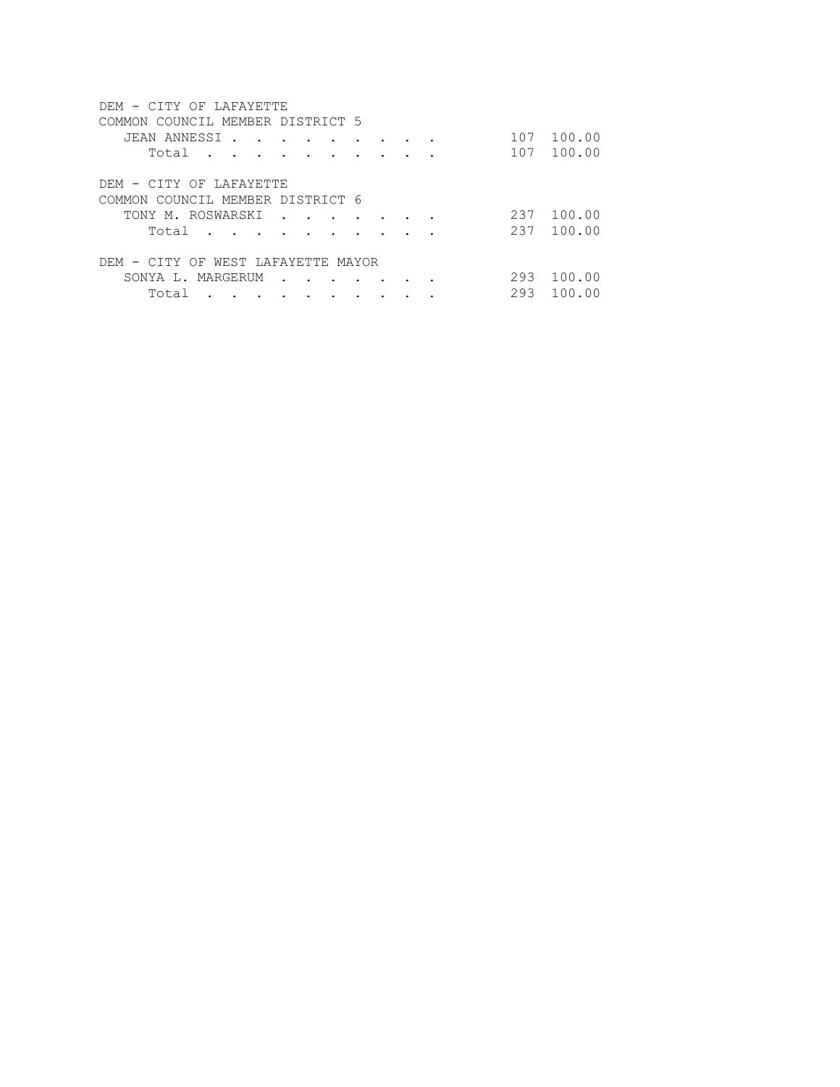| DEM - CITY OF LAFAYETTE             |  |  |  |     |        |
|-------------------------------------|--|--|--|-----|--------|
| COUNCIL MEMBER DISTRICT 5<br>COMMON |  |  |  |     |        |
| JEAN ANNESSI<br>$\overline{a}$      |  |  |  | 107 | 100.00 |
| Total                               |  |  |  | 107 | 100.00 |
|                                     |  |  |  |     |        |
| DEM - CITY OF LAFAYETTE             |  |  |  |     |        |
| COMMON COUNCIL MEMBER DISTRICT 6    |  |  |  |     |        |
| TONY M. ROSWARSKI                   |  |  |  | 237 | 100.00 |
| Total                               |  |  |  | 237 | 100.00 |
|                                     |  |  |  |     |        |
| DEM - CITY OF WEST LAFAYETTE MAYOR  |  |  |  |     |        |
| SONYA L. MARGERUM                   |  |  |  | 293 | 100.00 |
| Total                               |  |  |  | 293 | 100.00 |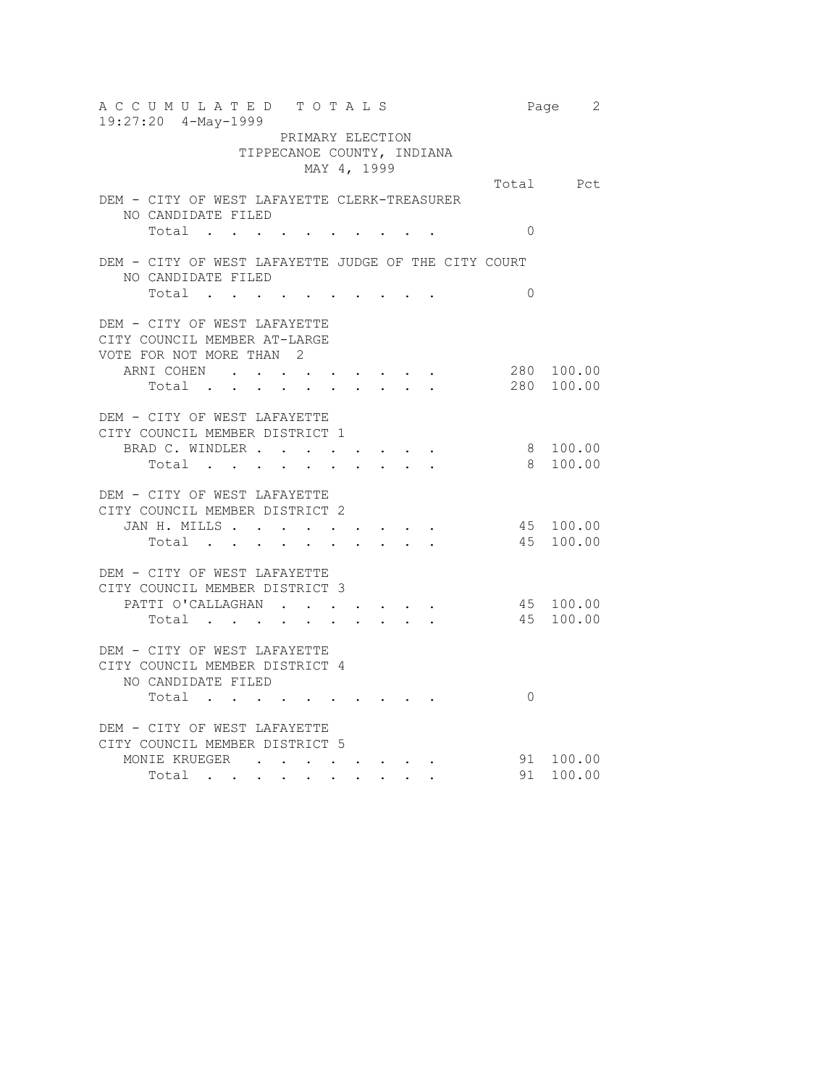| 19:27:20 4-May-1999<br>PRIMARY ELECTION<br>TIPPECANOE COUNTY, INDIANA<br>MAY 4, 1999<br>Total Pct<br>DEM - CITY OF WEST LAFAYETTE CLERK-TREASURER<br>NO CANDIDATE FILED<br>$\Omega$<br>Total<br>. The contribution of the contribution of the contribution $\mathcal{L}_\mathcal{A}$<br>DEM - CITY OF WEST LAFAYETTE JUDGE OF THE CITY COURT<br>NO CANDIDATE FILED<br>Total<br>$\Omega$<br>. The contribution of the contribution of the contribution $\mathcal{L}_\mathcal{A}$<br>DEM - CITY OF WEST LAFAYETTE<br>CITY COUNCIL MEMBER AT-LARGE<br>VOTE FOR NOT MORE THAN 2<br>280 100.00<br>ARNI COHEN<br><b>Contract Contract Contract</b><br>280 100.00<br>Total<br>$\sim$ $\sim$<br>DEM - CITY OF WEST LAFAYETTE<br>CITY COUNCIL MEMBER DISTRICT 1<br>8 100.00<br>BRAD C. WINDLER<br>the contract of the contract of the contract of the contract of the contract of the contract of the contract of<br>100.00<br>8<br>Total .<br>$\sim$<br>$\sim$ $\sim$ $\sim$<br>DEM - CITY OF WEST LAFAYETTE<br>CITY COUNCIL MEMBER DISTRICT 2<br>45 100.00<br>JAN H. MILLS<br>45<br>100.00<br>Total<br>$\mathbf{r}$ , $\mathbf{r}$ , $\mathbf{r}$<br>$\ddot{\phantom{0}}$<br>DEM - CITY OF WEST LAFAYETTE<br>CITY COUNCIL MEMBER DISTRICT 3 |
|--------------------------------------------------------------------------------------------------------------------------------------------------------------------------------------------------------------------------------------------------------------------------------------------------------------------------------------------------------------------------------------------------------------------------------------------------------------------------------------------------------------------------------------------------------------------------------------------------------------------------------------------------------------------------------------------------------------------------------------------------------------------------------------------------------------------------------------------------------------------------------------------------------------------------------------------------------------------------------------------------------------------------------------------------------------------------------------------------------------------------------------------------------------------------------------------------------------------------------------|
|                                                                                                                                                                                                                                                                                                                                                                                                                                                                                                                                                                                                                                                                                                                                                                                                                                                                                                                                                                                                                                                                                                                                                                                                                                      |
|                                                                                                                                                                                                                                                                                                                                                                                                                                                                                                                                                                                                                                                                                                                                                                                                                                                                                                                                                                                                                                                                                                                                                                                                                                      |
|                                                                                                                                                                                                                                                                                                                                                                                                                                                                                                                                                                                                                                                                                                                                                                                                                                                                                                                                                                                                                                                                                                                                                                                                                                      |
|                                                                                                                                                                                                                                                                                                                                                                                                                                                                                                                                                                                                                                                                                                                                                                                                                                                                                                                                                                                                                                                                                                                                                                                                                                      |
|                                                                                                                                                                                                                                                                                                                                                                                                                                                                                                                                                                                                                                                                                                                                                                                                                                                                                                                                                                                                                                                                                                                                                                                                                                      |
|                                                                                                                                                                                                                                                                                                                                                                                                                                                                                                                                                                                                                                                                                                                                                                                                                                                                                                                                                                                                                                                                                                                                                                                                                                      |
|                                                                                                                                                                                                                                                                                                                                                                                                                                                                                                                                                                                                                                                                                                                                                                                                                                                                                                                                                                                                                                                                                                                                                                                                                                      |
|                                                                                                                                                                                                                                                                                                                                                                                                                                                                                                                                                                                                                                                                                                                                                                                                                                                                                                                                                                                                                                                                                                                                                                                                                                      |
|                                                                                                                                                                                                                                                                                                                                                                                                                                                                                                                                                                                                                                                                                                                                                                                                                                                                                                                                                                                                                                                                                                                                                                                                                                      |
|                                                                                                                                                                                                                                                                                                                                                                                                                                                                                                                                                                                                                                                                                                                                                                                                                                                                                                                                                                                                                                                                                                                                                                                                                                      |
|                                                                                                                                                                                                                                                                                                                                                                                                                                                                                                                                                                                                                                                                                                                                                                                                                                                                                                                                                                                                                                                                                                                                                                                                                                      |
|                                                                                                                                                                                                                                                                                                                                                                                                                                                                                                                                                                                                                                                                                                                                                                                                                                                                                                                                                                                                                                                                                                                                                                                                                                      |
| 45 100.00<br>PATTI O'CALLAGHAN<br>$\mathcal{A}(\mathcal{A})$ , and $\mathcal{A}(\mathcal{A})$ , and $\mathcal{A}(\mathcal{A})$ , and                                                                                                                                                                                                                                                                                                                                                                                                                                                                                                                                                                                                                                                                                                                                                                                                                                                                                                                                                                                                                                                                                                 |
| 45<br>100.00<br>Total                                                                                                                                                                                                                                                                                                                                                                                                                                                                                                                                                                                                                                                                                                                                                                                                                                                                                                                                                                                                                                                                                                                                                                                                                |
| DEM - CITY OF WEST LAFAYETTE<br>CITY COUNCIL MEMBER DISTRICT 4<br>NO CANDIDATE FILED                                                                                                                                                                                                                                                                                                                                                                                                                                                                                                                                                                                                                                                                                                                                                                                                                                                                                                                                                                                                                                                                                                                                                 |
| $\Omega$<br>Total                                                                                                                                                                                                                                                                                                                                                                                                                                                                                                                                                                                                                                                                                                                                                                                                                                                                                                                                                                                                                                                                                                                                                                                                                    |
| DEM - CITY OF WEST LAFAYETTE<br>CITY COUNCIL MEMBER DISTRICT 5                                                                                                                                                                                                                                                                                                                                                                                                                                                                                                                                                                                                                                                                                                                                                                                                                                                                                                                                                                                                                                                                                                                                                                       |
| MONIE KRUEGER (COMPARENT (COMPARENT (COMPARENT )<br>91 100.00<br>91<br>100.00<br>Total<br>$\mathcal{L}(\mathbf{A})$ and $\mathcal{L}(\mathbf{A})$ and $\mathcal{L}(\mathbf{A})$<br>$\sim 10^{-10}$                                                                                                                                                                                                                                                                                                                                                                                                                                                                                                                                                                                                                                                                                                                                                                                                                                                                                                                                                                                                                                   |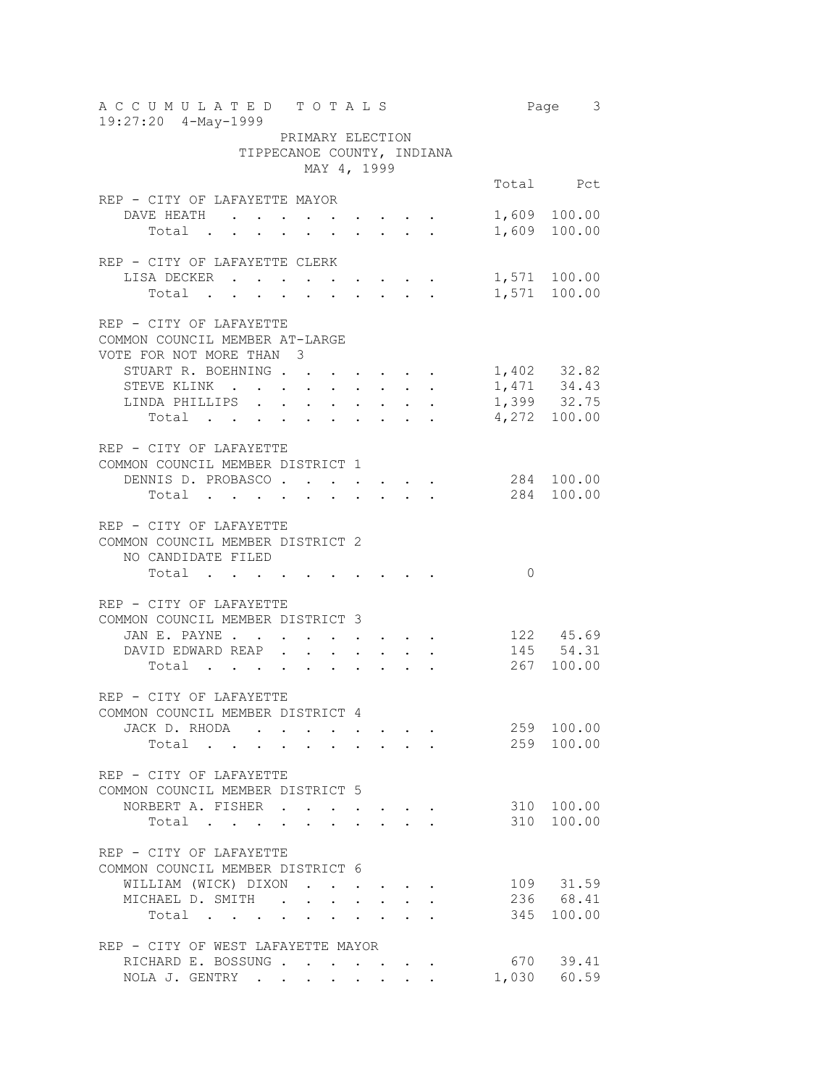| A C C U M U L A T E D T O T A L S                                                                                                                                                                                                                                                                                                                                                                                                                            |  |  |       | Page 3                                    |
|--------------------------------------------------------------------------------------------------------------------------------------------------------------------------------------------------------------------------------------------------------------------------------------------------------------------------------------------------------------------------------------------------------------------------------------------------------------|--|--|-------|-------------------------------------------|
| 19:27:20 4-May-1999<br>PRIMARY ELECTION                                                                                                                                                                                                                                                                                                                                                                                                                      |  |  |       |                                           |
| TIPPECANOE COUNTY, INDIANA                                                                                                                                                                                                                                                                                                                                                                                                                                   |  |  |       |                                           |
| MAY 4, 1999                                                                                                                                                                                                                                                                                                                                                                                                                                                  |  |  |       |                                           |
|                                                                                                                                                                                                                                                                                                                                                                                                                                                              |  |  |       | Total Pct                                 |
| REP - CITY OF LAFAYETTE MAYOR                                                                                                                                                                                                                                                                                                                                                                                                                                |  |  |       |                                           |
| DAVE HEATH                                                                                                                                                                                                                                                                                                                                                                                                                                                   |  |  |       | 1,609 100.00                              |
| Total .<br>$\mathbf{r} = \mathbf{r} + \mathbf{r} + \mathbf{r} + \mathbf{r} + \mathbf{r} + \mathbf{r} + \mathbf{r} + \mathbf{r} + \mathbf{r} + \mathbf{r} + \mathbf{r} + \mathbf{r} + \mathbf{r} + \mathbf{r} + \mathbf{r} + \mathbf{r} + \mathbf{r} + \mathbf{r} + \mathbf{r} + \mathbf{r} + \mathbf{r} + \mathbf{r} + \mathbf{r} + \mathbf{r} + \mathbf{r} + \mathbf{r} + \mathbf{r} + \mathbf{r} + \mathbf{r} + \mathbf{r} + \mathbf$                      |  |  |       | 1,609 100.00                              |
|                                                                                                                                                                                                                                                                                                                                                                                                                                                              |  |  |       |                                           |
| REP - CITY OF LAFAYETTE CLERK                                                                                                                                                                                                                                                                                                                                                                                                                                |  |  |       |                                           |
| LISA DECKER                                                                                                                                                                                                                                                                                                                                                                                                                                                  |  |  |       | 1,571 100.00                              |
| Total                                                                                                                                                                                                                                                                                                                                                                                                                                                        |  |  |       | 1,571 100.00                              |
|                                                                                                                                                                                                                                                                                                                                                                                                                                                              |  |  |       |                                           |
| REP - CITY OF LAFAYETTE<br>COMMON COUNCIL MEMBER AT-LARGE                                                                                                                                                                                                                                                                                                                                                                                                    |  |  |       |                                           |
| VOTE FOR NOT MORE THAN 3                                                                                                                                                                                                                                                                                                                                                                                                                                     |  |  |       |                                           |
| STUART R. BOEHNING                                                                                                                                                                                                                                                                                                                                                                                                                                           |  |  |       |                                           |
| STEVE KLINK                                                                                                                                                                                                                                                                                                                                                                                                                                                  |  |  |       |                                           |
| LINDA PHILLIPS                                                                                                                                                                                                                                                                                                                                                                                                                                               |  |  |       | 1,402 32.82<br>1,471 34.43<br>1,399 32.75 |
| VE KLINK<br>IDA PHILLIPS<br>Total                                                                                                                                                                                                                                                                                                                                                                                                                            |  |  |       | 4,272 100.00                              |
|                                                                                                                                                                                                                                                                                                                                                                                                                                                              |  |  |       |                                           |
| REP - CITY OF LAFAYETTE                                                                                                                                                                                                                                                                                                                                                                                                                                      |  |  |       |                                           |
| COMMON COUNCIL MEMBER DISTRICT 1                                                                                                                                                                                                                                                                                                                                                                                                                             |  |  |       |                                           |
| DENNIS D. PROBASCO                                                                                                                                                                                                                                                                                                                                                                                                                                           |  |  |       | 284 100.00                                |
| Total                                                                                                                                                                                                                                                                                                                                                                                                                                                        |  |  |       | 284 100.00                                |
|                                                                                                                                                                                                                                                                                                                                                                                                                                                              |  |  |       |                                           |
| REP - CITY OF LAFAYETTE<br>COMMON COUNCIL MEMBER DISTRICT 2                                                                                                                                                                                                                                                                                                                                                                                                  |  |  |       |                                           |
| NO CANDIDATE FILED                                                                                                                                                                                                                                                                                                                                                                                                                                           |  |  |       |                                           |
| Total                                                                                                                                                                                                                                                                                                                                                                                                                                                        |  |  | 0     |                                           |
|                                                                                                                                                                                                                                                                                                                                                                                                                                                              |  |  |       |                                           |
| REP - CITY OF LAFAYETTE                                                                                                                                                                                                                                                                                                                                                                                                                                      |  |  |       |                                           |
| COMMON COUNCIL MEMBER DISTRICT 3                                                                                                                                                                                                                                                                                                                                                                                                                             |  |  |       |                                           |
| JAN E. PAYNE<br>$\mathbf{r} = \mathbf{r} + \mathbf{r}$ , where $\mathbf{r} = \mathbf{r} + \mathbf{r}$ , where $\mathbf{r} = \mathbf{r}$                                                                                                                                                                                                                                                                                                                      |  |  |       | 122 45.69                                 |
| DAVID EDWARD REAP.<br>$\sigma_{\rm{eff}}$ , $\sigma_{\rm{eff}}$ , $\sigma_{\rm{eff}}$                                                                                                                                                                                                                                                                                                                                                                        |  |  |       | 145 54.31<br>267 100.00                   |
| $\label{eq:2.1} \frac{1}{2} \left( \frac{1}{2} \left( \frac{1}{2} \left( \frac{1}{2} \left( \frac{1}{2} \left( \frac{1}{2} \left( \frac{1}{2} \left( \frac{1}{2} \right) \right) - \frac{1}{2} \left( \frac{1}{2} \left( \frac{1}{2} \right) \right) \right) \right) \right) - \frac{1}{2} \right) \left( \frac{1}{2} \left( \frac{1}{2} \left( \frac{1}{2} \left( \frac{1}{2} \left( \frac{1}{2} \left( \frac{1}{2} \right) \right) - \frac{1}{2}$<br>Total |  |  |       |                                           |
|                                                                                                                                                                                                                                                                                                                                                                                                                                                              |  |  |       |                                           |
| REP - CITY OF LAFAYETTE                                                                                                                                                                                                                                                                                                                                                                                                                                      |  |  |       |                                           |
| COMMON COUNCIL MEMBER DISTRICT 4                                                                                                                                                                                                                                                                                                                                                                                                                             |  |  |       | 259 100.00                                |
| JACK D. RHODA                                                                                                                                                                                                                                                                                                                                                                                                                                                |  |  |       | 259 100.00                                |
| Total                                                                                                                                                                                                                                                                                                                                                                                                                                                        |  |  |       |                                           |
| REP - CITY OF LAFAYETTE                                                                                                                                                                                                                                                                                                                                                                                                                                      |  |  |       |                                           |
| COMMON COUNCIL MEMBER DISTRICT 5                                                                                                                                                                                                                                                                                                                                                                                                                             |  |  |       |                                           |
| NORBERT A. FISHER                                                                                                                                                                                                                                                                                                                                                                                                                                            |  |  |       | 310 100.00                                |
| Total<br>$\mathbf{L}^{\text{max}}$<br>$\mathbf{r}$                                                                                                                                                                                                                                                                                                                                                                                                           |  |  |       | 310 100.00                                |
|                                                                                                                                                                                                                                                                                                                                                                                                                                                              |  |  |       |                                           |
| REP - CITY OF LAFAYETTE                                                                                                                                                                                                                                                                                                                                                                                                                                      |  |  |       |                                           |
| COMMON COUNCIL MEMBER DISTRICT 6                                                                                                                                                                                                                                                                                                                                                                                                                             |  |  |       |                                           |
| WILLIAM (WICK) DIXON<br>$\mathcal{A}(\mathcal{A})$ . The contribution of the contribution of $\mathcal{A}(\mathcal{A})$                                                                                                                                                                                                                                                                                                                                      |  |  |       | 109 31.59                                 |
| MICHAEL D. SMITH                                                                                                                                                                                                                                                                                                                                                                                                                                             |  |  |       | 236 68.41                                 |
| Total                                                                                                                                                                                                                                                                                                                                                                                                                                                        |  |  |       | 345 100.00                                |
| REP - CITY OF WEST LAFAYETTE MAYOR                                                                                                                                                                                                                                                                                                                                                                                                                           |  |  |       |                                           |
| RICHARD E. BOSSUNG                                                                                                                                                                                                                                                                                                                                                                                                                                           |  |  |       | 670 39.41                                 |
| NOLA J. GENTRY                                                                                                                                                                                                                                                                                                                                                                                                                                               |  |  | 1,030 | 60.59                                     |
|                                                                                                                                                                                                                                                                                                                                                                                                                                                              |  |  |       |                                           |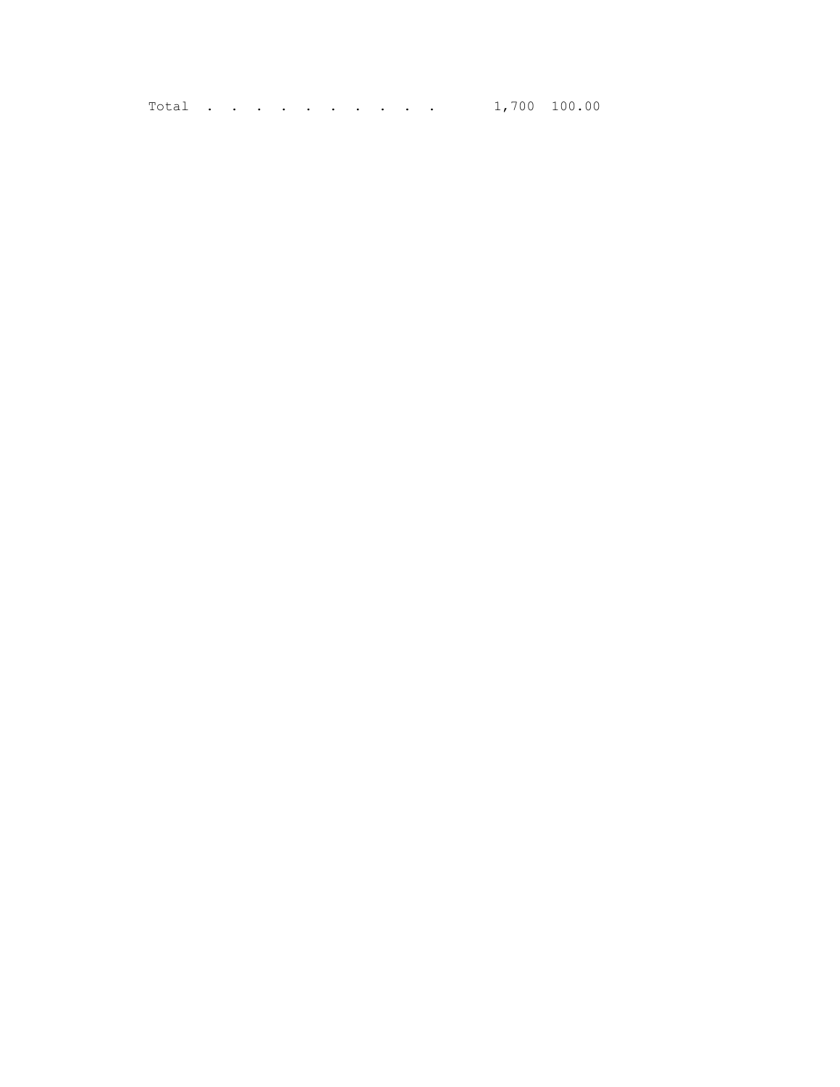Total . . . . . . . . . 1,700 100.00